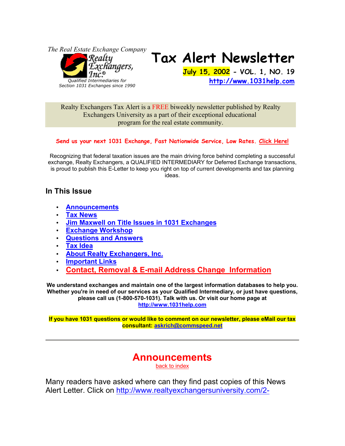*The Real Estate Exchange Company*



*Section 1031 Exchanges since 1990*

# **Tax Alert Newsletter**

**July 15, 2002 - VOL. 1, NO. 19 http://www.1031help.com**

Realty Exchangers Tax Alert is a FREE biweekly newsletter published by Realty Exchangers University as a part of their exceptional educational program for the real estate community.

#### **Send us your next 1031 Exchange, Fast Nationwide Service, Low Rates. Click Here!**

Recognizing that federal taxation issues are the main driving force behind completing a successful exchange, Realty Exchangers, a QUALIFIED INTERMEDIARY for Deferred Exchange transactions, is proud to publish this E-Letter to keep you right on top of current developments and tax planning ideas.

### **In This Issue**

- **Announcements**
- **Tax News**
- **Jim Maxwell on Title Issues in 1031 Exchanges**
- **Exchange Workshop**
- **Questions and Answers**
- **Tax Idea**
- **About Realty Exchangers, Inc.**
- **Important Links**
- **Contact, Removal & E-mail Address Change Information**

**We understand exchanges and maintain one of the largest information databases to help you. Whether you're in need of our services as your Qualified Intermediary, or just have questions, please call us (1-800-570-1031). Talk with us. Or visit our home page at http://www.1031help.com**

**If you have 1031 questions or would like to comment on our newsletter, please eMail our tax consultant: askrich@commspeed.net**

## **Announcements**

back to index

Many readers have asked where can they find past copies of this News Alert Letter. Click on http://www.realtyexchangersuniversity.com/2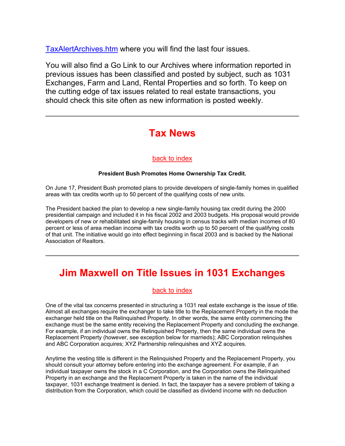TaxAlertArchives.htm where you will find the last four issues.

You will also find a Go Link to our Archives where information reported in previous issues has been classified and posted by subject, such as 1031 Exchanges, Farm and Land, Rental Properties and so forth. To keep on the cutting edge of tax issues related to real estate transactions, you should check this site often as new information is posted weekly.

## **Tax News**

#### back to index

#### **President Bush Promotes Home Ownership Tax Credit.**

On June 17, President Bush promoted plans to provide developers of single-family homes in qualified areas with tax credits worth up to 50 percent of the qualifying costs of new units.

The President backed the plan to develop a new single-family housing tax credit during the 2000 presidential campaign and included it in his fiscal 2002 and 2003 budgets. His proposal would provide developers of new or rehabilitated single-family housing in census tracks with median incomes of 80 percent or less of area median income with tax credits worth up to 50 percent of the qualifying costs of that unit. The initiative would go into effect beginning in fiscal 2003 and is backed by the National Association of Realtors.

# **Jim Maxwell on Title Issues in 1031 Exchanges**

#### back to index

One of the vital tax concerns presented in structuring a 1031 real estate exchange is the issue of title. Almost all exchanges require the exchanger to take title to the Replacement Property in the mode the exchanger held title on the Relinquished Property. In other words, the same entity commencing the exchange must be the same entity receiving the Replacement Property and concluding the exchange. For example, if an individual owns the Relinquished Property, then the same individual owns the Replacement Property (however, see exception below for marrieds); ABC Corporation relinquishes and ABC Corporation acquires; XYZ Partnership relinquishes and XYZ acquires.

Anytime the vesting title is different in the Relinquished Property and the Replacement Property, you should consult your attorney before entering into the exchange agreement. For example, if an individual taxpayer owns the stock in a C Corporation, and the Corporation owns the Relinquished Property in an exchange and the Replacement Property is taken in the name of the individual taxpayer, 1031 exchange treatment is denied. In fact, the taxpayer has a severe problem of taking a distribution from the Corporation, which could be classified as dividend income with no deduction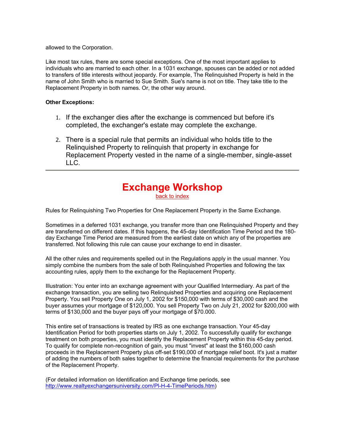allowed to the Corporation.

Like most tax rules, there are some special exceptions. One of the most important applies to individuals who are married to each other. In a 1031 exchange, spouses can be added or not added to transfers of title interests without jeopardy. For example, The Relinquished Property is held in the name of John Smith who is married to Sue Smith. Sue's name is not on title. They take title to the Replacement Property in both names. Or, the other way around.

#### **Other Exceptions:**

- 1. If the exchanger dies after the exchange is commenced but before it's completed, the exchanger's estate may complete the exchange.
- 2. There is a special rule that permits an individual who holds title to the Relinquished Property to relinquish that property in exchange for Replacement Property vested in the name of a single-member, single-asset LLC.

#### **Exchange Workshop**  back to index

Rules for Relinquishing Two Properties for One Replacement Property in the Same Exchange.

Sometimes in a deferred 1031 exchange, you transfer more than one Relinquished Property and they are transferred on different dates. If this happens, the 45-day Identification Time Period and the 180 day Exchange Time Period are measured from the earliest date on which any of the properties are transferred. Not following this rule can cause your exchange to end in disaster.

All the other rules and requirements spelled out in the Regulations apply in the usual manner. You simply combine the numbers from the sale of both Relinquished Properties and following the tax accounting rules, apply them to the exchange for the Replacement Property.

Illustration: You enter into an exchange agreement with your Qualified Intermediary. As part of the exchange transaction, you are selling two Relinquished Properties and acquiring one Replacement Property. You sell Property One on July 1, 2002 for \$150,000 with terms of \$30,000 cash and the buyer assumes your mortgage of \$120,000. You sell Property Two on July 21, 2002 for \$200,000 with terms of \$130,000 and the buyer pays off your mortgage of \$70.000.

This entire set of transactions is treated by IRS as one exchange transaction. Your 45-day Identification Period for both properties starts on July 1, 2002. To successfully qualify for exchange treatment on both properties, you must identify the Replacement Property within this 45-day period. To qualify for complete non-recognition of gain, you must "invest" at least the \$160,000 cash proceeds in the Replacement Property plus off-set \$190,000 of mortgage relief boot. It's just a matter of adding the numbers of both sales together to determine the financial requirements for the purchase of the Replacement Property.

(For detailed information on Identification and Exchange time periods, see http://www.realtyexchangersuniversity.com/Pl-H-4-TimePeriods.htm)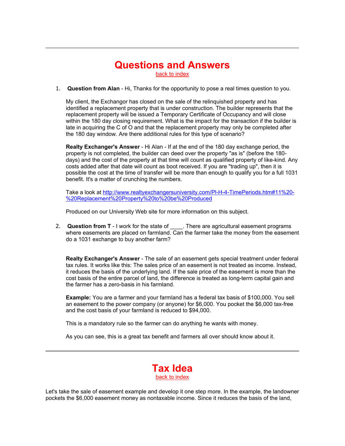# **Questions and Answers**

back to index

1. **Question from Alan** - Hi, Thanks for the opportunity to pose a real times question to you.

My client, the Exchangor has closed on the sale of the relinquished property and has identified a replacement property that is under construction. The builder represents that the replacement property will be issued a Temporary Certificate of Occupancy and will close within the 180 day closing requirement. What is the impact for the transaction if the builder is late in acquiring the C of O and that the replacement property may only be completed after the 180 day window. Are there additional rules for this type of scenario?

**Realty Exchanger's Answer** - Hi Alan - If at the end of the 180 day exchange period, the property is not completed, the builder can deed over the property "as is" (before the 180 days) and the cost of the property at that time will count as qualified property of like-kind. Any costs added after that date will count as boot received. If you are "trading up", then it is possible the cost at the time of transfer will be more than enough to qualify you for a full 1031 benefit. It's a matter of crunching the numbers.

Take a look at http://www.realtyexchangersuniversity.com/Pl-H-4-TimePeriods.htm#11%20- %20Replacement%20Property%20to%20be%20Produced

Produced on our University Web site for more information on this subject.

2. **Question from T** - I work for the state of **Lack There are agricultural easement programs** where easements are placed on farmland. Can the farmer take the money from the easement do a 1031 exchange to buy another farm?

**Realty Exchanger's Answer** - The sale of an easement gets special treatment under federal tax rules. It works like this: The sales price of an easement is not treated as income. Instead, it reduces the basis of the underlying land. If the sale price of the easement is more than the cost basis of the entire parcel of land, the difference is treated as long-term capital gain and the farmer has a zero-basis in his farmland.

**Example:** You are a farmer and your farmland has a federal tax basis of \$100,000. You sell an easement to the power company (or anyone) for \$6,000. You pocket the \$6,000 tax-free and the cost basis of your farmland is reduced to \$94,000.

This is a mandatory rule so the farmer can do anything he wants with money.

As you can see, this is a great tax benefit and farmers all over should know about it.



Let's take the sale of easement example and develop it one step more. In the example, the landowner pockets the \$6,000 easement money as nontaxable income. Since it reduces the basis of the land,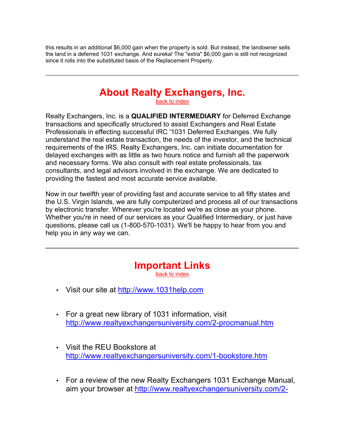this results in an additional \$6,000 gain when the property is sold. But instead, the landowner sells the land in a deferred 1031 exchange. And eureka! The "extra" \$6,000 gain is still not recognized since it rolls into the substituted basis of the Replacement Property.

## **About Realty Exchangers, Inc.**

back to index

Realty Exchangers, Inc. is a **QUALIFIED INTERMEDIARY** for Deferred Exchange transactions and specifically structured to assist Exchangers and Real Estate Professionals in effecting successful IRC '1031 Deferred Exchanges. We fully understand the real estate transaction, the needs of the investor, and the technical requirements of the IRS. Realty Exchangers, Inc. can initiate documentation for delayed exchanges with as little as two hours notice and furnish all the paperwork and necessary forms. We also consult with real estate professionals, tax consultants, and legal advisors involved in the exchange. We are dedicated to providing the fastest and most accurate service available.

Now in our twelfth year of providing fast and accurate service to all fifty states and the U.S. Virgin Islands, we are fully computerized and process all of our transactions by electronic transfer. Wherever you're located we're as close as your phone. Whether you're in need of our services as your Qualified Intermediary, or just have questions, please call us (1-800-570-1031). We'll be happy to hear from you and help you in any way we can.

# **Important Links**

back to index

- Visit our site at http://www.1031help.com
- For a great new library of 1031 information, visit http://www.realtyexchangersuniversity.com/2-procmanual.htm
- Visit the REU Bookstore at http://www.realtyexchangersuniversity.com/1-bookstore.htm
- For a review of the new Realty Exchangers 1031 Exchange Manual, aim your browser at http://www.realtyexchangersuniversity.com/2-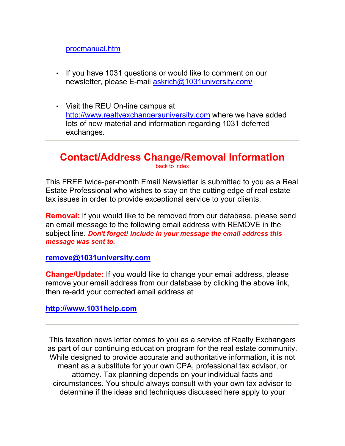#### procmanual.htm

- If you have 1031 questions or would like to comment on our newsletter, please E-mail askrich@1031university.com/
- Visit the REU On-line campus at http://www.realtyexchangersuniversity.com where we have added lots of new material and information regarding 1031 deferred exchanges.

### **Contact/Address Change/Removal Information**  back to index

This FREE twice-per-month Email Newsletter is submitted to you as a Real Estate Professional who wishes to stay on the cutting edge of real estate tax issues in order to provide exceptional service to your clients.

**Removal:** If you would like to be removed from our database, please send an email message to the following email address with REMOVE in the subject line. *Don't forget! Include in your message the email address this message was sent to.*

**remove@1031university.com**

**Change/Update:** If you would like to change your email address, please remove your email address from our database by clicking the above link, then re-add your corrected email address at

### **http://www.1031help.com**

This taxation news letter comes to you as a service of Realty Exchangers as part of our continuing education program for the real estate community. While designed to provide accurate and authoritative information, it is not meant as a substitute for your own CPA, professional tax advisor, or attorney. Tax planning depends on your individual facts and circumstances. You should always consult with your own tax advisor to determine if the ideas and techniques discussed here apply to your